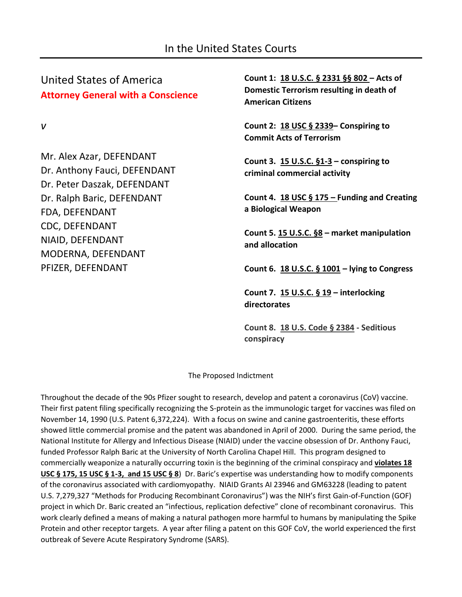United States of America **Attorney General with a Conscience**

*v*

Mr. Alex Azar, DEFENDANT Dr. Anthony Fauci, DEFENDANT Dr. Peter Daszak, DEFENDANT Dr. Ralph Baric, DEFENDANT FDA, DEFENDANT CDC, DEFENDANT NIAID, DEFENDANT MODERNA, DEFENDANT PFIZER, DEFENDANT

**Count 1: 18 U.S.C. § 2331 §§ 802 – Acts of Domestic Terrorism resulting in death of American Citizens**

**Count 2: 18 USC § 2339– Conspiring to Commit Acts of Terrorism**

**Count 3. 15 U.S.C. §1-3 – conspiring to criminal commercial activity**

**Count 4. 18 USC § 175 – Funding and Creating a Biological Weapon**

**Count 5. 15 U.S.C. §8 – market manipulation and allocation**

**Count 6. 18 U.S.C. § 1001 – lying to Congress**

**Count 7. 15 U.S.C. § 19 – interlocking directorates**

**Count 8. 18 U.S. Code § 2384 - Seditious conspiracy**

The Proposed Indictment

Throughout the decade of the 90s Pfizer sought to research, develop and patent a coronavirus (CoV) vaccine. Their first patent filing specifically recognizing the S-protein as the immunologic target for vaccines was filed on November 14, 1990 (U.S. Patent 6,372,224). With a focus on swine and canine gastroenteritis, these efforts showed little commercial promise and the patent was abandoned in April of 2000. During the same period, the National Institute for Allergy and Infectious Disease (NIAID) under the vaccine obsession of Dr. Anthony Fauci, funded Professor Ralph Baric at the University of North Carolina Chapel Hill. This program designed to commercially weaponize a naturally occurring toxin is the beginning of the criminal conspiracy and **violates 18 USC § 175, 15 USC § 1-3, and 15 USC § 8**) Dr. Baric's expertise was understanding how to modify components of the coronavirus associated with cardiomyopathy. NIAID Grants AI 23946 and GM63228 (leading to patent U.S. 7,279,327 "Methods for Producing Recombinant Coronavirus") was the NIH's first Gain-of-Function (GOF) project in which Dr. Baric created an "infectious, replication defective" clone of recombinant coronavirus. This work clearly defined a means of making a natural pathogen more harmful to humans by manipulating the Spike Protein and other receptor targets. A year after filing a patent on this GOF CoV, the world experienced the first outbreak of Severe Acute Respiratory Syndrome (SARS).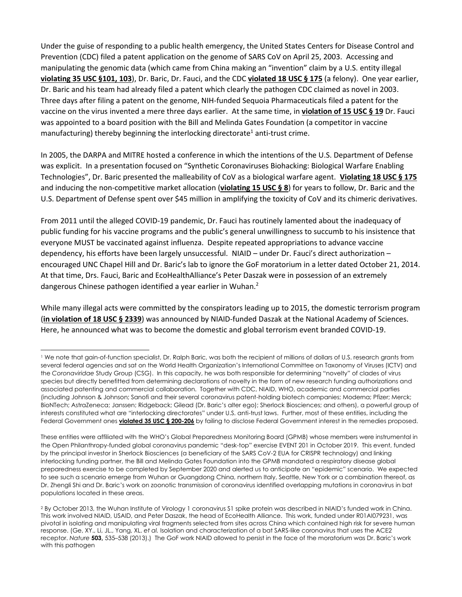Under the guise of responding to a public health emergency, the United States Centers for Disease Control and Prevention (CDC) filed a patent application on the genome of SARS CoV on April 25, 2003. Accessing and manipulating the genomic data (which came from China making an "invention" claim by a U.S. entity illegal **violating 35 USC §101, 103**), Dr. Baric, Dr. Fauci, and the CDC **violated 18 USC § 175** (a felony). One year earlier, Dr. Baric and his team had already filed a patent which clearly the pathogen CDC claimed as novel in 2003. Three days after filing a patent on the genome, NIH-funded Sequoia Pharmaceuticals filed a patent for the vaccine on the virus invented a mere three days earlier. At the same time, in **violation of 15 USC § 19** Dr. Fauci was appointed to a board position with the Bill and Melinda Gates Foundation (a competitor in vaccine manufacturing) thereby beginning the interlocking directorate<sup>1</sup> anti-trust crime.

In 2005, the DARPA and MITRE hosted a conference in which the intentions of the U.S. Department of Defense was explicit. In a presentation focused on "Synthetic Coronaviruses Biohacking: Biological Warfare Enabling Technologies", Dr. Baric presented the malleability of CoV as a biological warfare agent. **Violating 18 USC § 175** and inducing the non-competitive market allocation (**violating 15 USC § 8**) for years to follow, Dr. Baric and the U.S. Department of Defense spent over \$45 million in amplifying the toxicity of CoV and its chimeric derivatives.

From 2011 until the alleged COVID-19 pandemic, Dr. Fauci has routinely lamented about the inadequacy of public funding for his vaccine programs and the public's general unwillingness to succumb to his insistence that everyone MUST be vaccinated against influenza. Despite repeated appropriations to advance vaccine dependency, his efforts have been largely unsuccessful. NIAID – under Dr. Fauci's direct authorization – encouraged UNC Chapel Hill and Dr. Baric's lab to ignore the GoF moratorium in a letter dated October 21, 2014. At that time, Drs. Fauci, Baric and EcoHealthAlliance's Peter Daszak were in possession of an extremely dangerous Chinese pathogen identified a year earlier in Wuhan.<sup>2</sup>

While many illegal acts were committed by the conspirators leading up to 2015, the domestic terrorism program (**in violation of 18 USC § 2339**) was announced by NIAID-funded Daszak at the National Academy of Sciences. Here, he announced what was to become the domestic and global terrorism event branded COVID-19.

<sup>1</sup> We note that gain-of-function specialist, Dr. Ralph Baric, was both the recipient of millions of dollars of U.S. research grants from several federal agencies and sat on the World Health Organization's International Committee on Taxonomy of Viruses (ICTV) and the *Coronaviridae* Study Group (CSG). In this capacity, he was both responsible for determining "novelty" of clades of virus species but directly benefitted from determining declarations of novelty in the form of new research funding authorizations and associated patenting and commercial collaboration. Together with CDC, NIAID, WHO, academic and commercial parties (including Johnson & Johnson; Sanofi and their several coronavirus patent-holding biotech companies; Moderna; Pfizer; Merck; BioNTech; AstraZeneca; Janssen; Ridgeback; Gilead (Dr. Baric's alter ego); Sherlock Biosciences; and others), a powerful group of interests constituted what are "interlocking directorates" under U.S. anti-trust laws. Further, most of these entities, including the Federal Government ones **violated 35 USC § 200-206** by failing to disclose Federal Government interest in the remedies proposed.

These entities were affiliated with the WHO's Global Preparedness Monitoring Board (GPMB) whose members were instrumental in the Open Philanthropy-funded global coronavirus pandemic "desk-top" exercise EVENT 201 in October 2019. This event, funded by the principal investor in Sherlock Biosciences (a beneficiary of the SARS CoV-2 EUA for CRISPR technology) and linking interlocking funding partner, the Bill and Melinda Gates Foundation into the GPMB mandated a respiratory disease global preparedness exercise to be completed by September 2020 and alerted us to anticipate an "epidemic" scenario. We expected to see such a scenario emerge from Wuhan or Guangdong China, northern Italy, Seattle, New York or a combination thereof, as Dr. Zhengli Shi and Dr. Baric's work on zoonotic transmission of coronavirus identified overlapping mutations in coronavirus in bat populations located in these areas.

<sup>2</sup> By October 2013, the Wuhan Institute of Virology 1 coronavirus S1 spike protein was described in NIAID's funded work in China. This work involved NIAID, USAID, and Peter Daszak, the head of EcoHealth Alliance. This work, funded under R01AI079231, was pivotal in isolating and manipulating viral fragments selected from sites across China which contained high risk for severe human response. (Ge, XY., Li, JL., Yang, XL. *et al.* Isolation and characterization of a bat SARS-like coronavirus that uses the ACE2 receptor. *Nature* **503,** 535–538 (2013).) The GoF work NIAID allowed to persist in the face of the moratorium was Dr. Baric's work with this pathogen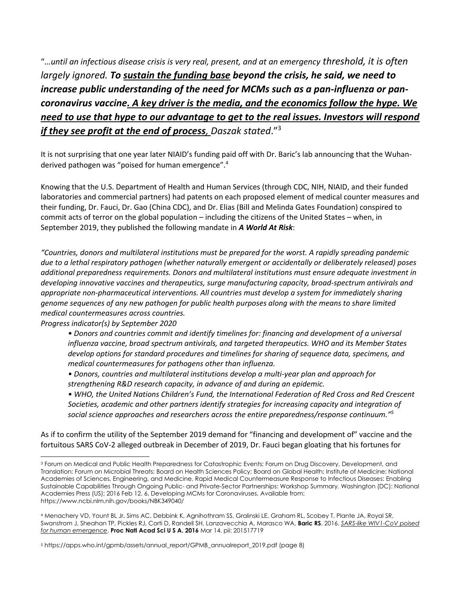"*…until an infectious disease crisis is very real, present, and at an emergency threshold, it is often largely ignored. To sustain the funding base beyond the crisis, he said, we need to increase public understanding of the need for MCMs such as a pan-influenza or pancoronavirus vaccine. A key driver is the media, and the economics follow the hype. We need to use that hype to our advantage to get to the real issues. Investors will respond if they see profit at the end of process, Daszak stated*."<sup>3</sup>

It is not surprising that one year later NIAID's funding paid off with Dr. Baric's lab announcing that the Wuhanderived pathogen was "poised for human emergence". 4

Knowing that the U.S. Department of Health and Human Services (through CDC, NIH, NIAID, and their funded laboratories and commercial partners) had patents on each proposed element of medical counter measures and their funding, Dr. Fauci, Dr. Gao (China CDC), and Dr. Elias (Bill and Melinda Gates Foundation) conspired to commit acts of terror on the global population – including the citizens of the United States – when, in September 2019, they published the following mandate in *A World At Risk*:

*"Countries, donors and multilateral institutions must be prepared for the worst. A rapidly spreading pandemic due to a lethal respiratory pathogen (whether naturally emergent or accidentally or deliberately released) poses additional preparedness requirements. Donors and multilateral institutions must ensure adequate investment in developing innovative vaccines and therapeutics, surge manufacturing capacity, broad-spectrum antivirals and appropriate non-pharmaceutical interventions. All countries must develop a system for immediately sharing genome sequences of any new pathogen for public health purposes along with the means to share limited medical countermeasures across countries.* 

*Progress indicator(s) by September 2020* 

- *Donors and countries commit and identify timelines for: financing and development of a universal influenza vaccine, broad spectrum antivirals, and targeted therapeutics. WHO and its Member States develop options for standard procedures and timelines for sharing of sequence data, specimens, and medical countermeasures for pathogens other than influenza.*
- *Donors, countries and multilateral institutions develop a multi-year plan and approach for strengthening R&D research capacity, in advance of and during an epidemic.*
- *WHO, the United Nations Children's Fund, the International Federation of Red Cross and Red Crescent Societies, academic and other partners identify strategies for increasing capacity and integration of social science approaches and researchers across the entire preparedness/response continuum." 5*

As if to confirm the utility of the September 2019 demand for "financing and development of" vaccine and the fortuitous SARS CoV-2 alleged outbreak in December of 2019, Dr. Fauci began gloating that his fortunes for

<sup>3</sup> Forum on Medical and Public Health Preparedness for Catastrophic Events; Forum on Drug Discovery, Development, and Translation; Forum on Microbial Threats; Board on Health Sciences Policy; Board on Global Health; Institute of Medicine; National Academies of Sciences, Engineering, and Medicine. Rapid Medical Countermeasure Response to Infectious Diseases: Enabling Sustainable Capabilities Through Ongoing Public- and Private-Sector Partnerships: Workshop Summary. Washington (DC): National Academies Press (US); 2016 Feb 12. 6, Developing MCMs for Coronaviruses. Available from: https://www.ncbi.nlm.nih.gov/books/NBK349040/

<sup>4</sup> Menachery VD, Yount BL Jr, Sims AC, Debbink K, Agnihothram SS, Gralinski LE, Graham RL, Scobey T, Plante JA, Royal SR, Swanstrom J, Sheahan TP, Pickles RJ, Corti D, Randell SH, Lanzavecchia A, Marasco WA, **Baric RS**. 2016. *SARS-like WIV1-CoV poised for human emergence*. **Proc Natl Acad Sci U S A. 2016** Mar 14. pii: 201517719

<sup>5</sup> https://apps.who.int/gpmb/assets/annual\_report/GPMB\_annualreport\_2019.pdf (page 8)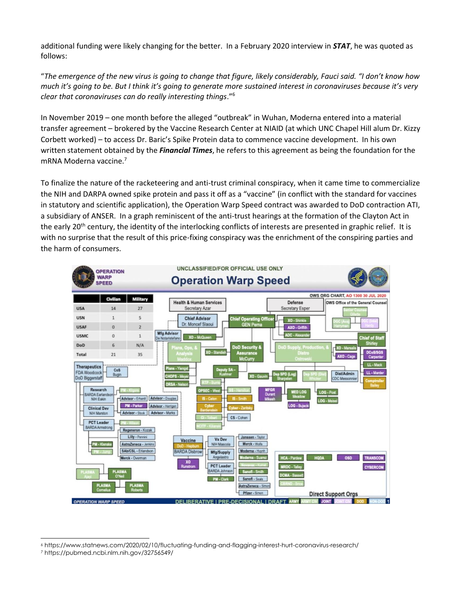additional funding were likely changing for the better. In a February 2020 interview in *STAT*, he was quoted as follows:

"*The emergence of the new virus is going to change that figure, likely considerably, Fauci said. "I don't know how much it's going to be. But I think it's going to generate more sustained interest in coronaviruses because it's very clear that coronaviruses can do really interesting things*."<sup>6</sup>

In November 2019 – one month before the alleged "outbreak" in Wuhan, Moderna entered into a material transfer agreement – brokered by the Vaccine Research Center at NIAID (at which UNC Chapel Hill alum Dr. Kizzy Corbett worked) – to access Dr. Baric's Spike Protein data to commence vaccine development. In his own written statement obtained by the *Financial Times*, he refers to this agreement as being the foundation for the mRNA Moderna vaccine.<sup>7</sup>

To finalize the nature of the racketeering and anti-trust criminal conspiracy, when it came time to commercialize the NIH and DARPA owned spike protein and pass it off as a "vaccine" (in conflict with the standard for vaccines in statutory and scientific application), the Operation Warp Speed contract was awarded to DoD contraction ATI, a subsidiary of ANSER. In a graph reminiscent of the anti-trust hearings at the formation of the Clayton Act in the early 20<sup>th</sup> century, the identity of the interlocking conflicts of interests are presented in graphic relief. It is with no surprise that the result of this price-fixing conspiracy was the enrichment of the conspiring parties and the harm of consumers.



<sup>6</sup> https://www.statnews.com/2020/02/10/fluctuating-funding-and-flagging-interest-hurt-coronavirus-research/

<sup>7</sup> https://pubmed.ncbi.nlm.nih.gov/32756549/